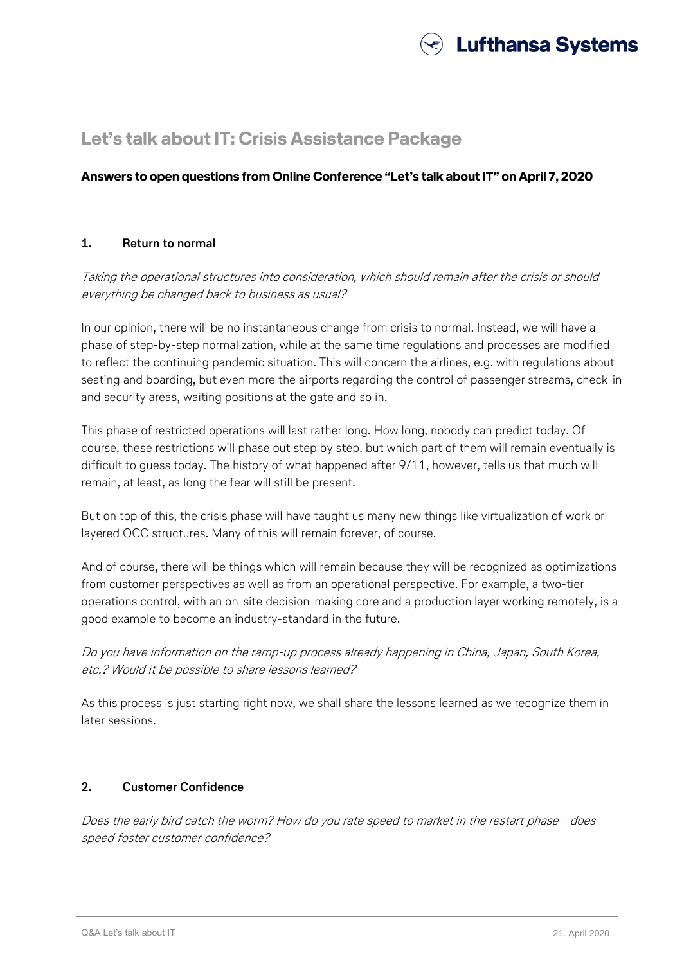

# **Let's talk about IT: Crisis Assistance Package**

# **Answers to open questions from Online Conference "Let's talk about IT" on April 7, 2020**

## **1. Return to normal**

# Taking the operational structures into consideration, which should remain after the crisis or should everything be changed back to business as usual?

In our opinion, there will be no instantaneous change from crisis to normal. Instead, we will have a phase of step-by-step normalization, while at the same time regulations and processes are modified to reflect the continuing pandemic situation. This will concern the airlines, e.g. with regulations about seating and boarding, but even more the airports regarding the control of passenger streams, check-in and security areas, waiting positions at the gate and so in.

This phase of restricted operations will last rather long. How long, nobody can predict today. Of course, these restrictions will phase out step by step, but which part of them will remain eventually is difficult to guess today. The history of what happened after 9/11, however, tells us that much will remain, at least, as long the fear will still be present.

But on top of this, the crisis phase will have taught us many new things like virtualization of work or layered OCC structures. Many of this will remain forever, of course.

And of course, there will be things which will remain because they will be recognized as optimizations from customer perspectives as well as from an operational perspective. For example, a two-tier operations control, with an on-site decision-making core and a production layer working remotely, is a good example to become an industry-standard in the future.

Do you have information on the ramp-up process already happening in China, Japan, South Korea, etc.? Would it be possible to share lessons learned?

As this process is just starting right now, we shall share the lessons learned as we recognize them in later sessions.

## **2. Customer Confidence**

Does the early bird catch the worm? How do you rate speed to market in the restart phase - does speed foster customer confidence?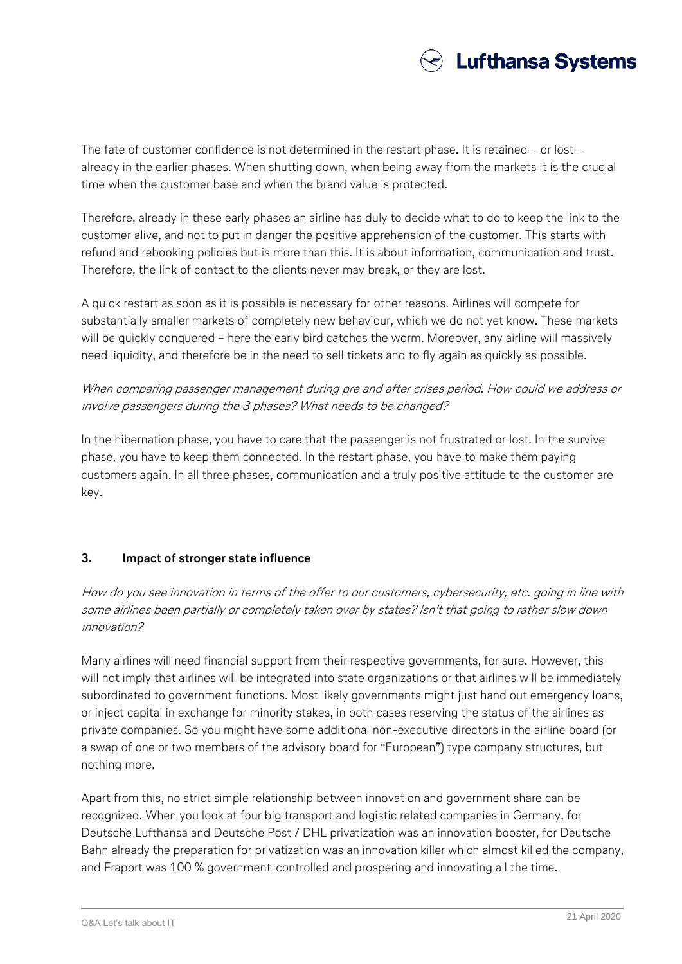

The fate of customer confidence is not determined in the restart phase. It is retained – or lost – already in the earlier phases. When shutting down, when being away from the markets it is the crucial time when the customer base and when the brand value is protected.

Therefore, already in these early phases an airline has duly to decide what to do to keep the link to the customer alive, and not to put in danger the positive apprehension of the customer. This starts with refund and rebooking policies but is more than this. It is about information, communication and trust. Therefore, the link of contact to the clients never may break, or they are lost.

A quick restart as soon as it is possible is necessary for other reasons. Airlines will compete for substantially smaller markets of completely new behaviour, which we do not yet know. These markets will be quickly conquered – here the early bird catches the worm. Moreover, any airline will massively need liquidity, and therefore be in the need to sell tickets and to fly again as quickly as possible.

When comparing passenger management during pre and after crises period. How could we address or involve passengers during the 3 phases? What needs to be changed?

In the hibernation phase, you have to care that the passenger is not frustrated or lost. In the survive phase, you have to keep them connected. In the restart phase, you have to make them paying customers again. In all three phases, communication and a truly positive attitude to the customer are key.

# **3. Impact of stronger state influence**

How do you see innovation in terms of the offer to our customers, cybersecurity, etc. going in line with some airlines been partially or completely taken over by states? Isn't that going to rather slow down innovation?

Many airlines will need financial support from their respective governments, for sure. However, this will not imply that airlines will be integrated into state organizations or that airlines will be immediately subordinated to government functions. Most likely governments might just hand out emergency loans, or inject capital in exchange for minority stakes, in both cases reserving the status of the airlines as private companies. So you might have some additional non-executive directors in the airline board (or a swap of one or two members of the advisory board for "European") type company structures, but nothing more.

Apart from this, no strict simple relationship between innovation and government share can be recognized. When you look at four big transport and logistic related companies in Germany, for Deutsche Lufthansa and Deutsche Post / DHL privatization was an innovation booster, for Deutsche Bahn already the preparation for privatization was an innovation killer which almost killed the company, and Fraport was 100 % government-controlled and prospering and innovating all the time.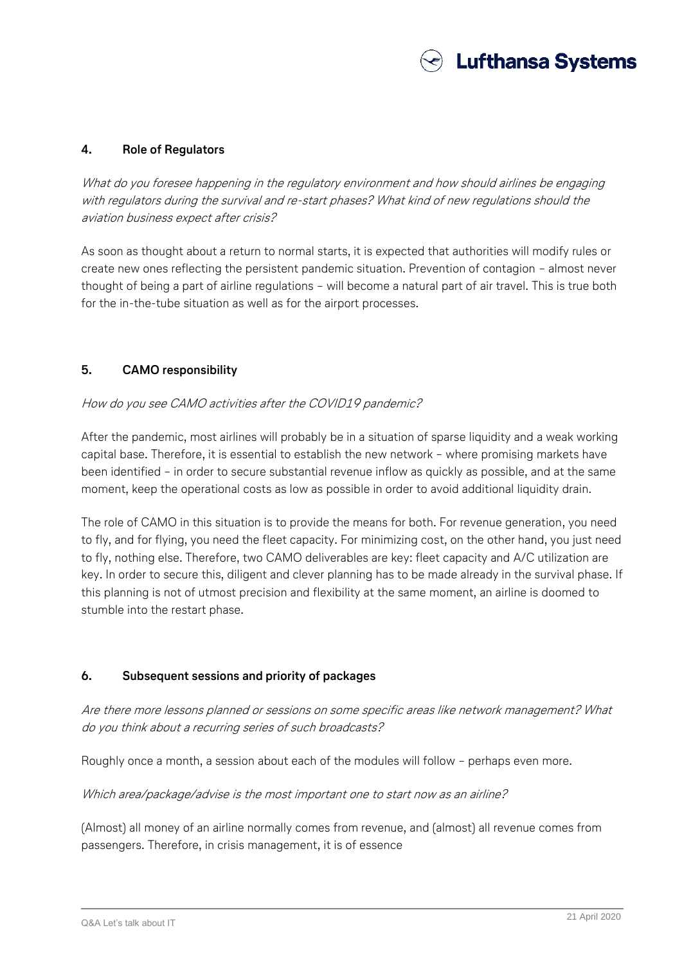

#### **4. Role of Regulators**

What do you foresee happening in the regulatory environment and how should airlines be engaging with regulators during the survival and re-start phases? What kind of new regulations should the aviation business expect after crisis?

As soon as thought about a return to normal starts, it is expected that authorities will modify rules or create new ones reflecting the persistent pandemic situation. Prevention of contagion – almost never thought of being a part of airline regulations – will become a natural part of air travel. This is true both for the in-the-tube situation as well as for the airport processes.

#### **5. CAMO responsibility**

#### How do you see CAMO activities after the COVID19 pandemic?

After the pandemic, most airlines will probably be in a situation of sparse liquidity and a weak working capital base. Therefore, it is essential to establish the new network – where promising markets have been identified – in order to secure substantial revenue inflow as quickly as possible, and at the same moment, keep the operational costs as low as possible in order to avoid additional liquidity drain.

The role of CAMO in this situation is to provide the means for both. For revenue generation, you need to fly, and for flying, you need the fleet capacity. For minimizing cost, on the other hand, you just need to fly, nothing else. Therefore, two CAMO deliverables are key: fleet capacity and A/C utilization are key. In order to secure this, diligent and clever planning has to be made already in the survival phase. If this planning is not of utmost precision and flexibility at the same moment, an airline is doomed to stumble into the restart phase.

#### **6. Subsequent sessions and priority of packages**

Are there more lessons planned or sessions on some specific areas like network management? What do you think about a recurring series of such broadcasts?

Roughly once a month, a session about each of the modules will follow – perhaps even more.

Which area/package/advise is the most important one to start now as an airline?

(Almost) all money of an airline normally comes from revenue, and (almost) all revenue comes from passengers. Therefore, in crisis management, it is of essence